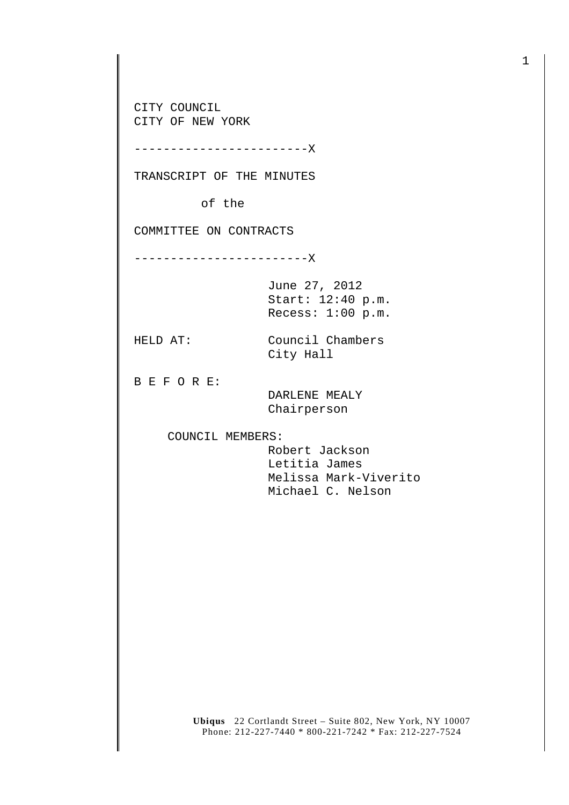CITY COUNCIL CITY OF NEW YORK

------------------------X

TRANSCRIPT OF THE MINUTES

of the

COMMITTEE ON CONTRACTS

------------------------X

June 27, 2012 Start: 12:40 p.m. Recess: 1:00 p.m.

HELD AT: Council Chambers City Hall

B E F O R E:

 DARLENE MEALY Chairperson

COUNCIL MEMBERS:

 Robert Jackson Letitia James Melissa Mark-Viverito Michael C. Nelson

**Ubiqus** 22 Cortlandt Street – Suite 802, New York, NY 10007 Phone: 212-227-7440 \* 800-221-7242 \* Fax: 212-227-7524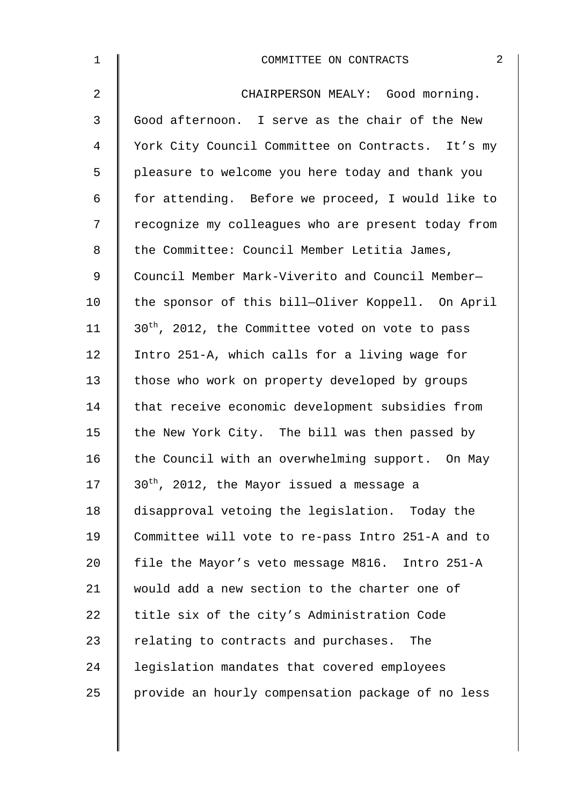| $\mathbf 1$    | $\overline{2}$<br>COMMITTEE ON CONTRACTS                     |
|----------------|--------------------------------------------------------------|
| $\overline{a}$ | CHAIRPERSON MEALY: Good morning.                             |
| 3              | Good afternoon. I serve as the chair of the New              |
| 4              | York City Council Committee on Contracts. It's my            |
| 5              | pleasure to welcome you here today and thank you             |
| 6              | for attending. Before we proceed, I would like to            |
| 7              | recognize my colleagues who are present today from           |
| 8              | the Committee: Council Member Letitia James,                 |
| 9              | Council Member Mark-Viverito and Council Member-             |
| 10             | the sponsor of this bill-Oliver Koppell. On April            |
| 11             | 30 <sup>th</sup> , 2012, the Committee voted on vote to pass |
| 12             | Intro 251-A, which calls for a living wage for               |
| 13             | those who work on property developed by groups               |
| 14             | that receive economic development subsidies from             |
| 15             | the New York City. The bill was then passed by               |
| 16             | the Council with an overwhelming support. On May             |
| 17             | 30 <sup>th</sup> , 2012, the Mayor issued a message a        |
| 18             | disapproval vetoing the legislation. Today the               |
| 19             | Committee will vote to re-pass Intro 251-A and to            |
| 20             | file the Mayor's veto message M816. Intro 251-A              |
| 21             | would add a new section to the charter one of                |
| 22             | title six of the city's Administration Code                  |
| 23             | relating to contracts and purchases. The                     |
| 24             | legislation mandates that covered employees                  |
| 25             | provide an hourly compensation package of no less            |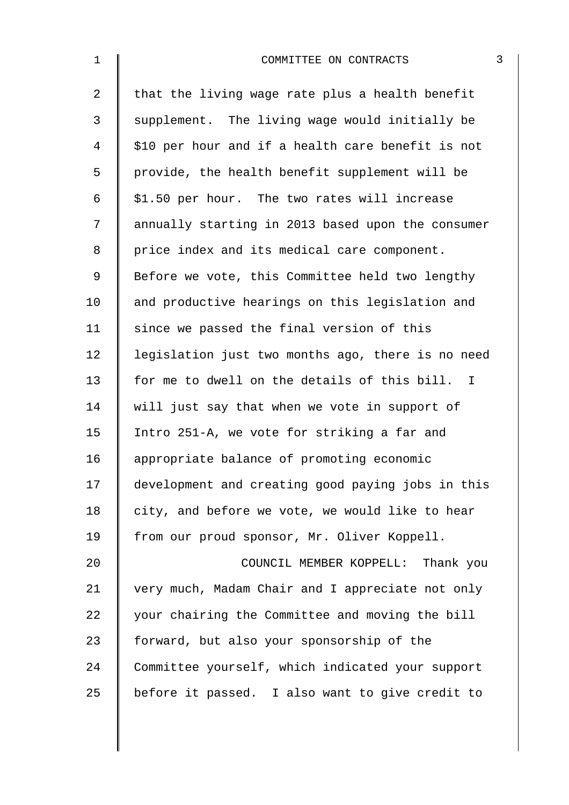| $\mathbf 1$    | COMMITTEE ON CONTRACTS                            | 3 |
|----------------|---------------------------------------------------|---|
| $\overline{a}$ | that the living wage rate plus a health benefit   |   |
| 3              | supplement. The living wage would initially be    |   |
| 4              | \$10 per hour and if a health care benefit is not |   |
| 5              | provide, the health benefit supplement will be    |   |
| 6              | \$1.50 per hour. The two rates will increase      |   |
| 7              | annually starting in 2013 based upon the consumer |   |
| 8              | price index and its medical care component.       |   |
| $\mathsf 9$    | Before we vote, this Committee held two lengthy   |   |
| 10             | and productive hearings on this legislation and   |   |
| 11             | since we passed the final version of this         |   |
| 12             | legislation just two months ago, there is no need |   |
| 13             | for me to dwell on the details of this bill. I    |   |
| 14             | will just say that when we vote in support of     |   |
| 15             | Intro 251-A, we vote for striking a far and       |   |
| 16             | appropriate balance of promoting economic         |   |
| 17             | development and creating good paying jobs in this |   |
| 18             | city, and before we vote, we would like to hear   |   |
| 19             | from our proud sponsor, Mr. Oliver Koppell.       |   |
| 20             | COUNCIL MEMBER KOPPELL: Thank you                 |   |
| 21             | very much, Madam Chair and I appreciate not only  |   |
| 22             | your chairing the Committee and moving the bill   |   |
| 23             | forward, but also your sponsorship of the         |   |
| 24             | Committee yourself, which indicated your support  |   |
| 25             | before it passed. I also want to give credit to   |   |
|                |                                                   |   |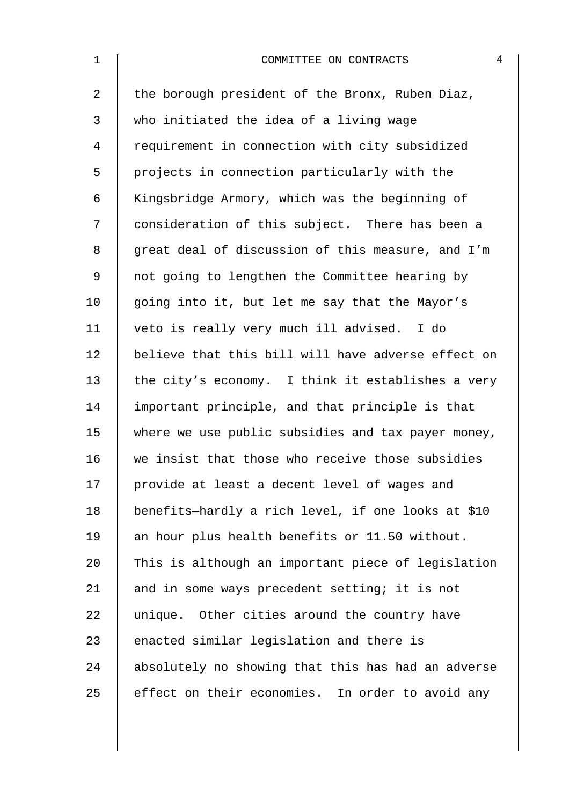| $\mathbf 1$    | 4<br>COMMITTEE ON CONTRACTS                        |
|----------------|----------------------------------------------------|
| $\overline{2}$ | the borough president of the Bronx, Ruben Diaz,    |
| 3              | who initiated the idea of a living wage            |
| $\overline{4}$ | requirement in connection with city subsidized     |
| 5              | projects in connection particularly with the       |
| 6              | Kingsbridge Armory, which was the beginning of     |
| 7              | consideration of this subject. There has been a    |
| $\,8\,$        | great deal of discussion of this measure, and I'm  |
| $\mathsf 9$    | not going to lengthen the Committee hearing by     |
| 10             | going into it, but let me say that the Mayor's     |
| 11             | veto is really very much ill advised. I do         |
| 12             | believe that this bill will have adverse effect on |
| 13             | the city's economy. I think it establishes a very  |
| 14             | important principle, and that principle is that    |
| 15             | where we use public subsidies and tax payer money, |
| 16             | we insist that those who receive those subsidies   |
| 17             | provide at least a decent level of wages and       |
| 18             | benefits-hardly a rich level, if one looks at \$10 |
| 19             | an hour plus health benefits or 11.50 without.     |
| 20             | This is although an important piece of legislation |
| 21             | and in some ways precedent setting; it is not      |
| 22             | unique. Other cities around the country have       |
| 23             | enacted similar legislation and there is           |
| 24             | absolutely no showing that this has had an adverse |
| 25             | effect on their economies. In order to avoid any   |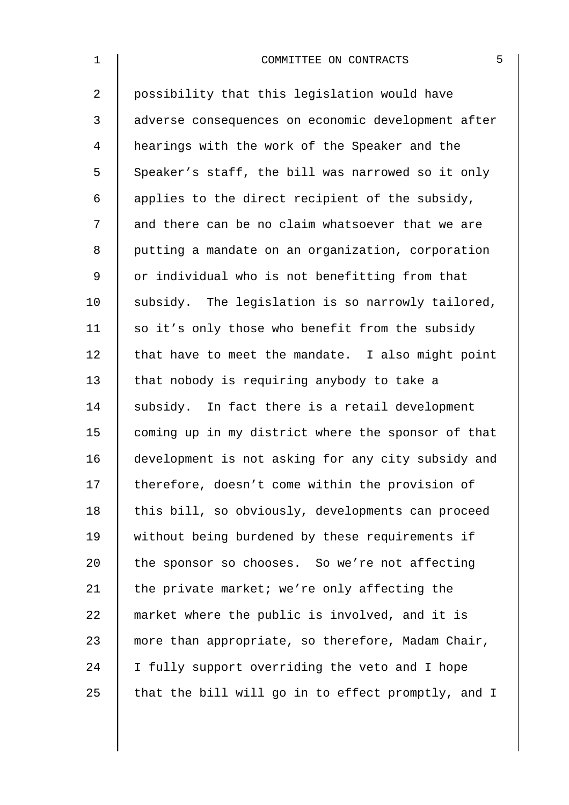| $\mathbf 1$    | 5<br>COMMITTEE ON CONTRACTS                        |
|----------------|----------------------------------------------------|
| $\overline{a}$ | possibility that this legislation would have       |
| 3              | adverse consequences on economic development after |
| 4              | hearings with the work of the Speaker and the      |
| 5              | Speaker's staff, the bill was narrowed so it only  |
| 6              | applies to the direct recipient of the subsidy,    |
| 7              | and there can be no claim whatsoever that we are   |
| 8              | putting a mandate on an organization, corporation  |
| 9              | or individual who is not benefitting from that     |
| 10             | subsidy. The legislation is so narrowly tailored,  |
| 11             | so it's only those who benefit from the subsidy    |
| 12             | that have to meet the mandate. I also might point  |
| 13             | that nobody is requiring anybody to take a         |
| 14             | subsidy. In fact there is a retail development     |
| 15             | coming up in my district where the sponsor of that |
| 16             | development is not asking for any city subsidy and |
| 17             | therefore, doesn't come within the provision of    |
| 18             | this bill, so obviously, developments can proceed  |
| 19             | without being burdened by these requirements if    |
| 20             | the sponsor so chooses. So we're not affecting     |
| 21             | the private market; we're only affecting the       |
| 22             | market where the public is involved, and it is     |
| 23             | more than appropriate, so therefore, Madam Chair,  |
| 24             | I fully support overriding the veto and I hope     |
| 25             | that the bill will go in to effect promptly, and I |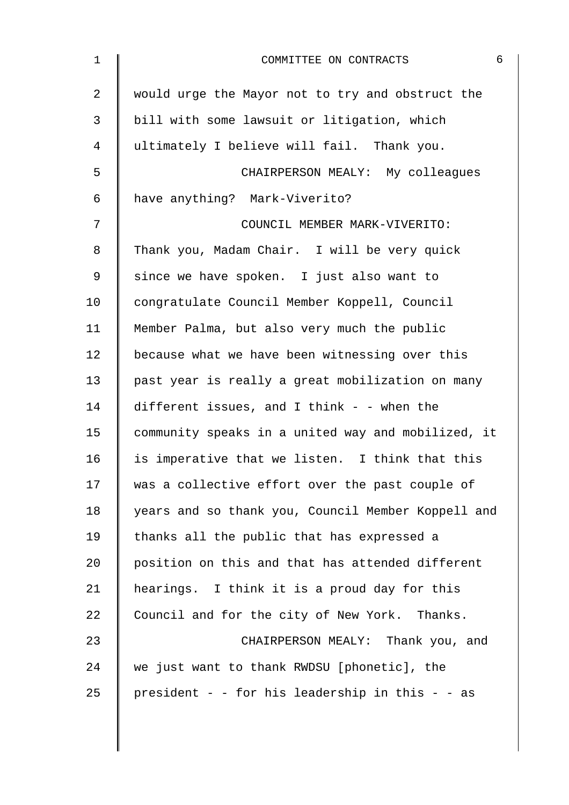| $\mathbf 1$ | 6<br>COMMITTEE ON CONTRACTS                        |
|-------------|----------------------------------------------------|
| 2           | would urge the Mayor not to try and obstruct the   |
| 3           | bill with some lawsuit or litigation, which        |
| 4           | ultimately I believe will fail. Thank you.         |
| 5           | CHAIRPERSON MEALY: My colleagues                   |
| 6           | have anything? Mark-Viverito?                      |
| 7           | COUNCIL MEMBER MARK-VIVERITO:                      |
| 8           | Thank you, Madam Chair. I will be very quick       |
| 9           | since we have spoken. I just also want to          |
| 10          | congratulate Council Member Koppell, Council       |
| 11          | Member Palma, but also very much the public        |
| 12          | because what we have been witnessing over this     |
| 13          | past year is really a great mobilization on many   |
| 14          | different issues, and I think - - when the         |
| 15          | community speaks in a united way and mobilized, it |
| 16          | is imperative that we listen. I think that this    |
| 17          | was a collective effort over the past couple of    |
| 18          | years and so thank you, Council Member Koppell and |
| 19          | thanks all the public that has expressed a         |
| 20          | position on this and that has attended different   |
| 21          | hearings. I think it is a proud day for this       |
| 22          | Council and for the city of New York. Thanks.      |
| 23          | CHAIRPERSON MEALY: Thank you, and                  |
| 24          | we just want to thank RWDSU [phonetic], the        |
| 25          | president - - for his leadership in this - - as    |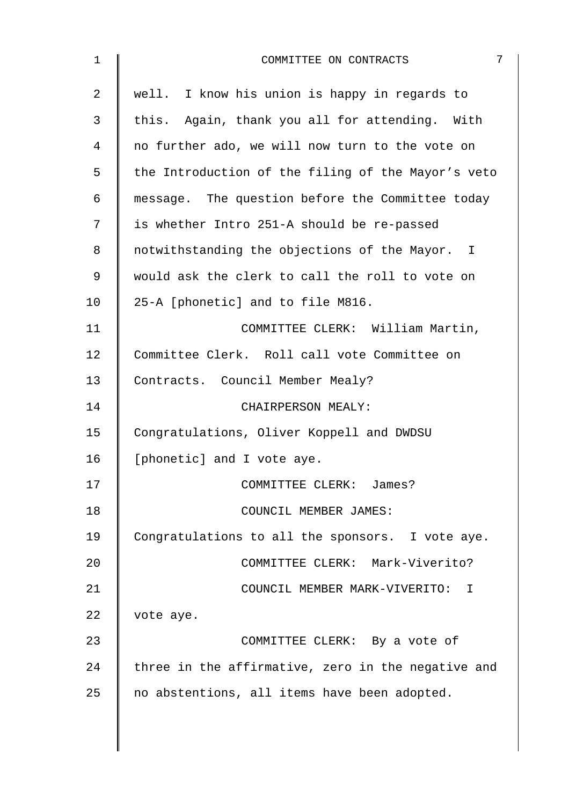| $\mathbf 1$ | 7<br>COMMITTEE ON CONTRACTS                        |
|-------------|----------------------------------------------------|
| 2           | well. I know his union is happy in regards to      |
| 3           | this. Again, thank you all for attending. With     |
| 4           | no further ado, we will now turn to the vote on    |
| 5           | the Introduction of the filing of the Mayor's veto |
| 6           | message. The question before the Committee today   |
| 7           | is whether Intro 251-A should be re-passed         |
| 8           | notwithstanding the objections of the Mayor. I     |
| 9           | would ask the clerk to call the roll to vote on    |
| 10          | 25-A [phonetic] and to file M816.                  |
| 11          | COMMITTEE CLERK: William Martin,                   |
| 12          | Committee Clerk. Roll call vote Committee on       |
| 13          | Contracts. Council Member Mealy?                   |
| 14          | CHAIRPERSON MEALY:                                 |
| 15          | Congratulations, Oliver Koppell and DWDSU          |
| 16          | [phonetic] and I vote aye.                         |
| 17          | COMMITTEE CLERK: James?                            |
| 18          | COUNCIL MEMBER JAMES:                              |
| 19          | Congratulations to all the sponsors. I vote aye.   |
| 20          | COMMITTEE CLERK: Mark-Viverito?                    |
| 21          | COUNCIL MEMBER MARK-VIVERITO: I                    |
| 22          | vote aye.                                          |
| 23          | COMMITTEE CLERK: By a vote of                      |
| 24          | three in the affirmative, zero in the negative and |
| 25          | no abstentions, all items have been adopted.       |
|             |                                                    |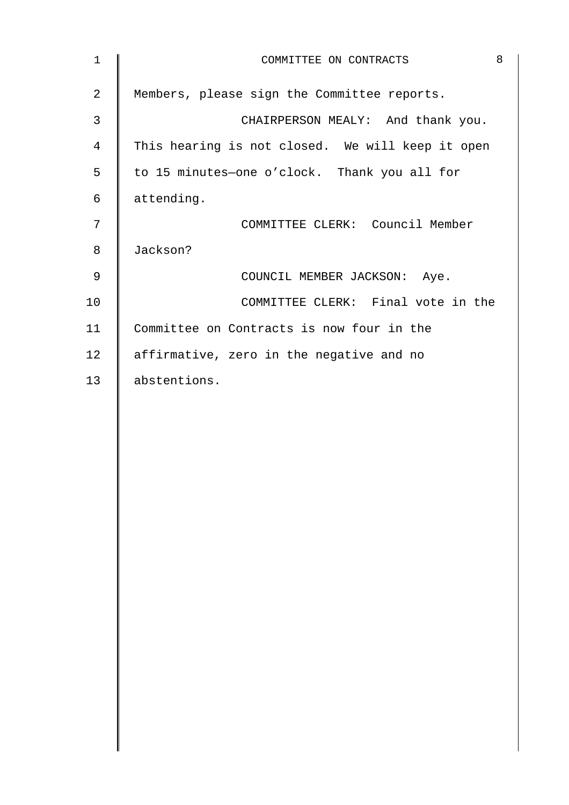| $\mathbf{1}$   | COMMITTEE ON CONTRACTS                           | 8 |
|----------------|--------------------------------------------------|---|
| $\overline{a}$ | Members, please sign the Committee reports.      |   |
| $\mathfrak{Z}$ | CHAIRPERSON MEALY: And thank you.                |   |
| $\overline{4}$ | This hearing is not closed. We will keep it open |   |
| 5              | to 15 minutes-one o'clock. Thank you all for     |   |
| 6              | attending.                                       |   |
| 7              | COMMITTEE CLERK: Council Member                  |   |
| 8              | Jackson?                                         |   |
| $\mathsf 9$    | COUNCIL MEMBER JACKSON: Aye.                     |   |
| 10             | COMMITTEE CLERK: Final vote in the               |   |
| 11             | Committee on Contracts is now four in the        |   |
| 12             | affirmative, zero in the negative and no         |   |
| 13             | abstentions.                                     |   |
|                |                                                  |   |
|                |                                                  |   |
|                |                                                  |   |
|                |                                                  |   |
|                |                                                  |   |
|                |                                                  |   |
|                |                                                  |   |
|                |                                                  |   |
|                |                                                  |   |
|                |                                                  |   |
|                |                                                  |   |
|                |                                                  |   |
|                |                                                  |   |